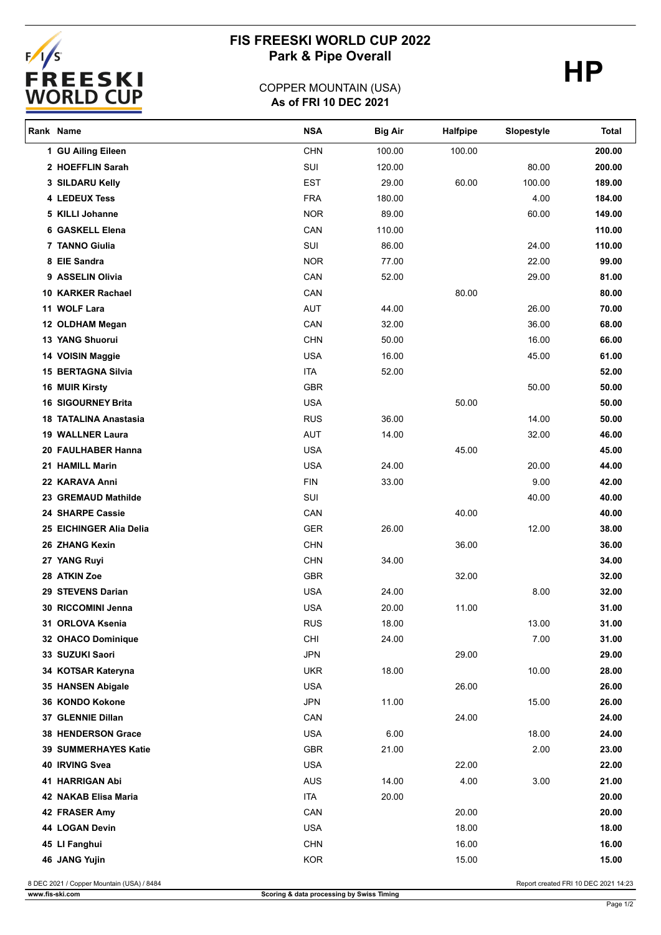

# **FIS FREESKI WORLD CUP 2022** Park & Pipe Overall **HP**

### **As of FRI 10 DEC 2021** COPPER MOUNTAIN (USA)

| Rank Name                    | <b>NSA</b> | <b>Big Air</b> | <b>Halfpipe</b> | Slopestyle | Total  |
|------------------------------|------------|----------------|-----------------|------------|--------|
| 1 GU Ailing Eileen           | <b>CHN</b> | 100.00         | 100.00          |            | 200.00 |
| 2 HOEFFLIN Sarah             | SUI        | 120.00         |                 | 80.00      | 200.00 |
| 3 SILDARU Kelly              | <b>EST</b> | 29.00          | 60.00           | 100.00     | 189.00 |
| <b>4 LEDEUX Tess</b>         | <b>FRA</b> | 180.00         |                 | 4.00       | 184.00 |
| 5 KILLI Johanne              | <b>NOR</b> | 89.00          |                 | 60.00      | 149.00 |
| 6 GASKELL Elena              | CAN        | 110.00         |                 |            | 110.00 |
| 7 TANNO Giulia               | SUI        | 86.00          |                 | 24.00      | 110.00 |
| 8 EIE Sandra                 | <b>NOR</b> | 77.00          |                 | 22.00      | 99.00  |
| 9 ASSELIN Olivia             | CAN        | 52.00          |                 | 29.00      | 81.00  |
| 10 KARKER Rachael            | CAN        |                | 80.00           |            | 80.00  |
| 11 WOLF Lara                 | AUT        | 44.00          |                 | 26.00      | 70.00  |
| 12 OLDHAM Megan              | CAN        | 32.00          |                 | 36.00      | 68.00  |
| <b>13 YANG Shuorui</b>       | <b>CHN</b> | 50.00          |                 | 16.00      | 66.00  |
| 14 VOISIN Maggie             | <b>USA</b> | 16.00          |                 | 45.00      | 61.00  |
| <b>15 BERTAGNA Silvia</b>    | <b>ITA</b> | 52.00          |                 |            | 52.00  |
| <b>16 MUIR Kirsty</b>        | GBR        |                |                 | 50.00      | 50.00  |
| <b>16 SIGOURNEY Brita</b>    | <b>USA</b> |                | 50.00           |            | 50.00  |
| <b>18 TATALINA Anastasia</b> | <b>RUS</b> | 36.00          |                 | 14.00      | 50.00  |
| 19 WALLNER Laura             | <b>AUT</b> | 14.00          |                 | 32.00      | 46.00  |
| 20 FAULHABER Hanna           | <b>USA</b> |                | 45.00           |            | 45.00  |
| 21 HAMILL Marin              | <b>USA</b> | 24.00          |                 | 20.00      | 44.00  |
| 22 KARAVA Anni               | <b>FIN</b> | 33.00          |                 | 9.00       | 42.00  |
| 23 GREMAUD Mathilde          | SUI        |                |                 | 40.00      | 40.00  |
| 24 SHARPE Cassie             | CAN        |                | 40.00           |            | 40.00  |
| 25 EICHINGER Alia Delia      | <b>GER</b> | 26.00          |                 | 12.00      | 38.00  |
| 26 ZHANG Kexin               | <b>CHN</b> |                | 36.00           |            | 36.00  |
| 27 YANG Ruyi                 | <b>CHN</b> | 34.00          |                 |            | 34.00  |
| 28 ATKIN Zoe                 | GBR        |                | 32.00           |            | 32.00  |
| 29 STEVENS Darian            | <b>USA</b> | 24.00          |                 | 8.00       | 32.00  |
| 30 RICCOMINI Jenna           | <b>USA</b> | 20.00          | 11.00           |            | 31.00  |
| 31 ORLOVA Ksenia             | <b>RUS</b> | 18.00          |                 | 13.00      | 31.00  |
| 32 OHACO Dominique           | CHI        | 24.00          |                 | 7.00       | 31.00  |
| 33 SUZUKI Saori              | <b>JPN</b> |                | 29.00           |            | 29.00  |
| 34 KOTSAR Kateryna           | <b>UKR</b> | 18.00          |                 | 10.00      | 28.00  |
| 35 HANSEN Abigale            | <b>USA</b> |                | 26.00           |            | 26.00  |
| 36 KONDO Kokone              | <b>JPN</b> | 11.00          |                 | 15.00      | 26.00  |
| 37 GLENNIE Dillan            | CAN        |                | 24.00           |            | 24.00  |
| 38 HENDERSON Grace           | <b>USA</b> | 6.00           |                 | 18.00      | 24.00  |
| <b>39 SUMMERHAYES Katie</b>  | GBR        | 21.00          |                 | 2.00       | 23.00  |
| 40 IRVING Svea               | <b>USA</b> |                | 22.00           |            | 22.00  |
| 41 HARRIGAN Abi              | <b>AUS</b> | 14.00          | 4.00            | 3.00       | 21.00  |
| 42 NAKAB Elisa Maria         | <b>ITA</b> | 20.00          |                 |            | 20.00  |
| 42 FRASER Amy                | CAN        |                | 20.00           |            | 20.00  |
| 44 LOGAN Devin               | <b>USA</b> |                | 18.00           |            | 18.00  |
| 45 LI Fanghui                | <b>CHN</b> |                | 16.00           |            | 16.00  |
| 46 JANG Yujin                | KOR        |                | 15.00           |            | 15.00  |
|                              |            |                |                 |            |        |

8 DEC 2021 / Copper Mountain (USA) / 8484 Report created FRI 10 DEC 2021 14:23